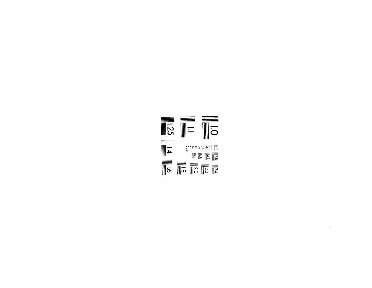

 $\mathcal{A}^{\mathcal{A}}$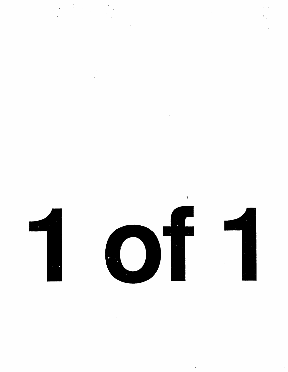

 $\mathcal{F}_{\text{max}}$ 

and the state of the state of

 $\hat{\mathcal{L}}$ 

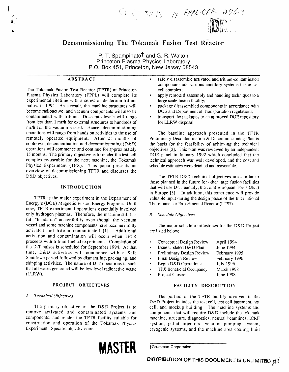$V$  for  $\{v_1v_2, v_3v_4, v_5v_6\}$  ,  $\{v_1v_2, v_3v_3, v_4v_4, v_7v_6\}$ i i'r i'r i'r i'r i'r cyfan yn y gwleidyn y gwleidyn y gwleidyn y gwleidyn y gwleidyn y gwleidyn y gwleidyn y i ttl I!7 ,, ,.**L**ltOuv:, .

# Dec**om**m**i**ss**io**n**i**n**g** The Tokam**ak** Fus**io**n Tes**t R**ea**ct**or

P. T. Spamp**i**na**t**ol and G. R. Wa**lt**on Princeton Plasma Physics Laboratory P.O. Box 451, Princeton, New Jersey 08543

The Tokamak Fusion Test Reactor (TFTR) at Princeton cell complex;<br>Plasma Physics Laboratory (PPPL) will complete its **completion** apply remote disassembly and handling techniques to a Plasma Physics Laboratory (PPPL) will complete its • apply remote disassembly experimental lifetime with a series of deuterium-tritium large scale fusion facility; experimental lifetime with a series of deuterium-tritium<br>pulses in 1994. As a result, the machine structures will become radioactive, and vacuum components will also be DOE and Department of Transportation regulations;<br>contaminated with tritium. Dose rate levels will range can example the packages to an approved DOE repository contaminated with tritium. Dose rate levels will range • transport the package<br>from less than 1 mr/h for external structures to hundreds of for LLRW disposal. from less than 1 mr/h for external structures to hundreds of mr/h for the vacuum vessel. Hence, decommissioning operations will range from hands on activities to the use of remotely operated equipment. After 21 months of Preliminary Decontamination & Decommissioning Plan is<br>cooldown, decontamination and decommissioning (D&D) the basis for the feasibility of achieving the technical cooldown, decontamination and decommissioning (D&D) operations will commence and continue for approximately operations will commence and continue for approximately objectives [2]. This plan was reviewed by an independent 15 months. The primary objective is to render the test cell DOE panel in January 1992 which concluded that th 15 months. The primary objective is to render the test cell DOE panel in January 1992 which concluded that the complex re-useable for the next machine, the Tokamak technical approach was well developed, and the cost and Physics Experiment (TPX). This paper presents an overview of decommissioning TFTR and discusses the D&D objectives.

TFTR is the major experiment in the Department of valuable input during the design phase of the Ingy's (DOE) Magnetic Fusion Energy Program. Until Thermonuclear Experimental Reactor (ITER). Energy's (DOE) Magnetic Fusion Energy Program. Until now, TFTR experimental operations essentially involved only hydrogen plasmas. Therefore, the machine still has *B*. *Schedule Objectives* full "hands-on" accessibility even though the vacuum<br>vessel and some machine components have become mildly activated and tritium contaminated [1]. Additional activation and contamination will occur when TFTR proceeds with tritium-fuelled experiments. Completion of **•** Conceptual Design Review April 1994<br>the D-T pulses is scheduled for September 1994. At that **•** Issue Updated D&D Plan June 1994 the D-T pulses is scheduled for September 1994. At that <br>time, D&D activities will commence with a Safe • Preliminary Design Review February 1995 time, D&D activities will commence with a Safe • Preliminary Design Review February 1995<br>Shutdown period followed by dismantling, packaging, and • Final Design Review February 1996 Shutdown period followed by dismantling, packaging, and • Final Design Review February 1<br>
shipping activities. The nature of D-T operations is such • Begin D&D Operations July 1996 shipping activities. The nature of D-T operations is such • Begin D&D Operations July 1996<br>that all waste generated will be low level radioactive waste • TPX Beneficial Occupancy March 1998 that all waste generated will be low level radioactive waste • TPX Beneficial Occupancy March 1998<br>(LLRW). • Project Closeout June 1998 (LLRW). • Project Cioseout June 1998

# PROJECT OBJECTIVES FACILITY DESCRIPTION

remove activated and contaminated systems and components that will require D&D include the tokamak<br>components, and render the TFTR facility suitable for machine, structure, diagnostics, neutral beamlines, ICRF components, and render the TFTR facility suitable for construction and operation of the Tokamak Physics construction and operation of the Tokamak Physics system, pellet injectors, vacuum pumping system,<br>Experiment, Specific objectives are:<br>experiment, Specific objectives are:



- ABSTRACT safely disassemble activated and tritium-contaminated components and various ancillary systems in the test cell complex;
	-
	- package disassembled components in accordance with DOE and Department of Transportation regulations;
	-

The baseline approach presented in the TFTR<br>Preliminary Decontamination & Decommissioning Plan is technical approach was well developed, and the cost and schedule estimates were detailed and reasonable.

The TFTR D&D technical objectives are similar to those plan*n*ed i*n* the future for other large fusion facilities INTRODUCTION that will use D-T, namely, *d*ie Joint European *T*orus (JE*T*) in Europe [3]. In addition, this experience will provide valuable input during the design phase of the International

The major schedule milestones for the D&D Project are listed below:

- -
- -
	-
- -

*A*. *Technical Objectives* The portion of the TFTR facility involved in the D&D Project includes the test cell, test cell basement, hot The primary objective of the D&D Project is to cell, and mockup building. The machine systems and ove activated and contaminated systems and components that will require D&D include the tokamak cryogenic systems, and the machine area cooling fluid

†Grumman Corporation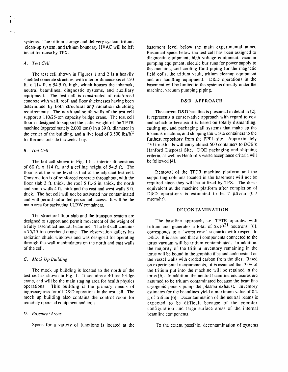systems. The tritium storage and delivery system, tritium clean-up system, and tritium boundary HVAC will be left basement level below the main experimental areas.<br>Basement space below the test cell has been assigned to

0'

shielded concrete structure, with interior dimensions of 150 and air handling equipment. D&D operations in the<br>ft. x 114 ft. x 54.5 ft. high, which houses the tokamak, basement will be limited to the systems directly under ft.  $x$  114 ft.  $x$  54.5 ft. high, which houses the tokamak, basement will be limited to the systems neutral beamlines, diagnostic systems, and auxiliary machine, vacuum pumping piping. neutral beamlines, diagnostic systems, and auxiliary equipment. The test cell is constructed of reinforced concrete with wall, roof, and floor thicknesses having been D&D APPROACH determined by both structural and radiation shielding requirements. The north and south walls of the test cell The current D&D baseline is presented in detail in [2].<br>support a 110/25-ton capacity bridge crane. The test cell It represents a conservative approach with regard t support a 110/25-ton capacity bridge crane. The test cell It represents a conservative approach with regard to cost<br>It represents a conservative approach with regard to cost floor is designed to cost floor is designed to s floor is designed to support the static weight of the TFTR and schedule because it is based on totally dismantling,<br>machine (approximately 2,000 tons) in a 39 ft. diameter in cutting up, and packaging all systems that make machine (approximately 2,000 tons) in a 39 ft. diameter in cutting up, and packaging all systems that make up the the center of the building, and a live load of 3,500 lbs/ft<sup>2</sup> tokamak machine, and shipping the waste cont the center of the building, and a live load of 3,500 lbs/ft<sup>2</sup> for the area outside the center bay.

The hot cell shown in Fig. 1 has interior dimensions of 60 ft. x 114 ft., and a ceiling height of 54.5 ft. The floor is at the same level as that of the adjacent test cell. Removal of the TFTR machine platform and the Construction is of reinforced concrete throughout, with the supporting columns located in the basement will not be Construction is of reinforced concrete throughout, with the supporting columns located in the basement will not be floor slab 3 ft. thick, the roof 5 ft.-6 in. thick, the north required since they will be utilized by TPX. floor slab 3 ft. thick, the roof 5 ft.-6 in. thick, the north required since they will be utilized by TPX. The dose-<br>and south walls 4 ft. thick and the east and west walls 3 ft. equivalent at the machine platform after c and south walls 4 ft. thick and the east and west walls 3 ft. equivalent at the machine platform after completion of thick. The hot cell will not be activated nor contaminated  $D&D$  operations is estimated to be 7  $\mu$ Sv thick. The hot cell will not be activated nor contaminated D&D operations is estimated to be *not* and will permit unlimited personnel access. It will be the mrem/hr). and will permit unlimited personnel access. It will be the main area for packaging LLRW containers.

The structural floor slab and the transport system are designed to support and permit movement of the weight of The baseline approach, i.e. TFTR operates with a fully assembled neutral beamline. The hot cell contains tritium and generates a total of  $2x10^{21}$  neutrons [6], a fully assembled neutral beamline. The hot cell contains a 75/15-ton overhead crane. The observation gallery has radiation shield windows and was designed for operating D&D. It is assumed that all components connected to the through-the-wall manipulators on the north and east walls torus vacuum will be tritium contaminated. In additi through-the-wall manipulators on the north and east walls of the cell.

test cell as shown in Fig. 1. It contains a 40-ton bridge torus [6]. In addition, the neutral beamline enclosures are crane, and will be the main staging area for health physics assumed to be tritium contaminated because t crane, and will be the main staging area for health physics assumed to be tritium contaminated because the beamline<br>operations. This building is the primary means of cryogenic panels pump the plasma exhaust. Inventory operations. This building is the primary means of ingress/egress for all  $D&D$  operations in the test cell. The mock up building also contains the control room for remotely operated equipment and tools.

Space for a variety of functions is located at the To the extent possible, decontamination of systems

Basement space below the test cell has been assigned to diagnostic equipment, high voltage equipment, vacuum *A*. *Test Cell* pumping equipment, electric bus runs for power supply to the machine, coil cooling fluid piping for the magnetic field coils, the tritium vault, tritium cleanup equipment The test cell shown in Figures 1 and 2 is a heavily field coils, the tritium vault, tritium cleanup equipment<br>Ided concrete structure, with interior dimensions of 150 and air handling equipment. D&D operations in the

furthest repository from the PPPL site. Approximately 150 truckloads will carry almost 500 containers t**o** DOE's *B*. *llot Cell* Hanford Disposal Site. DOE packaging and shipping criteria, as well as Hanford's waste acceptance criteria will be followed [4].

# I**)** ECONTAMINATION

corresponds to a "worst case" scenario with respect to D&D. It is assumed that all components connected to the the majority of the tritium inventory remaining in the to*m*s will be bound in the graphite tiles and cod**e**posited on *C*. *Mock Up Building* the vessel walls with erodcd carbon from the tiles. Based on experimental measurements, it is assumed that 35% of The mock up building is located to the north of the the tritium put into the machine will be retained in the cell as shown in Fig. 1. It contains a 40-ton bridge torus [6]. In addition, the neutral beamline enclosures are estimates for the beamlines yield a maximum value of 0.2 g of tritium [6]. Decontamination of the neutral beams is expected to be difficult because of the complex configuration and large surface areas o**f** the internal *D. Basement Areas* beamline components.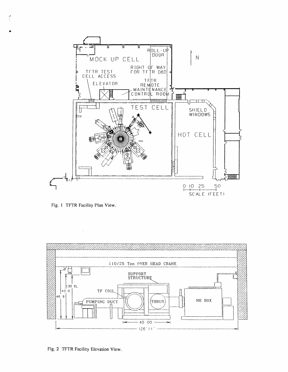

Fig. 1 TFTR Facility Plan View.

 $\bar{u}$ 



Fig. 2 TFTR Facility Elevation View.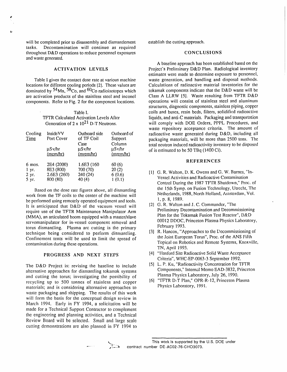will be completed prior to disassembly and dismantlement establish the cutting approach.<br>
tasks. Decontamination will continue as required Decontamination will continue as required throughout D&D operations to reduce personnel exposures CONCLUSIONS and waste generated.

locations for different cooling periods [2]. These values are Calculations of radioactive material inventories for the dominated by  $54$ Mn,  $58$ Co, and  $60$ Co radioisotones which tokamak components indicate that the D&D w dominated by  $54$ Mn,  $58$ Co, and  $60$ Co radioisotopes which tokamak components indicate that the D&D waste will be are activation products of the stainless steel and inconel Class A LLRW [5]. Waste resulting from TFTR D&D are activation products of the stairiless steel and inconel Class A LLRW [5]. Waste resulting from TFTR D&D<br>components. Refer to Fig. 2 for the component locations. operations will consist of stainless steel and aluminum components. Refer to Fig. 2 for the component locations.

| Cooling<br><b>Time</b>            | Inside VV<br>Port Cover<br>$\mu$ S v/hr<br>(mcm/hr) | Outboard side<br>of TF Coil<br>Case<br>$\mu$ S v/hr<br>(mrem/hr) | Outboard of<br>Support<br>Column<br>$\mu$ Sv/hr<br>(mrem/hr) | radioactive waste generated during D&D, includ<br>packaging materials, will be more than 2500 tons<br>total neutron induced radioactivity inventory to be di<br>of is estimated to be 50 TBq (1400 Ci). |
|-----------------------------------|-----------------------------------------------------|------------------------------------------------------------------|--------------------------------------------------------------|---------------------------------------------------------------------------------------------------------------------------------------------------------------------------------------------------------|
| 6 mos.                            | 2E4 (2000)                                          | 1.6E3 (160)                                                      | 60(6)                                                        | <b>REFERENCES</b>                                                                                                                                                                                       |
| $1 \, yr.$<br>$2 \, yr.$<br>5 yr. | 8E3 (800)<br>2.6E3(260)<br>800 (80)                 | 700 (70)<br>240(24)<br>40(4)                                     | 20(2)<br>6(0.6)<br>1(0.1)                                    | [1] G. R. Walton, D. K. Owens and G. W. Barnes,<br>Vessel Activities and Radioactive Contaminatio<br>Control During the 1987 TETR Shutdown " Pr                                                         |

work from the TF coils to the center of the machine will Netherlands, 1<br>he performed using remotely energied equipment and tools  $(1, p, 8, 1989)$ . be performed using remotely operated equipment and tools.<br>It is anticipated, that D & D of the vecuum vessel will [2] G. R. Walton and J. C. Commander, "The It is anticipated that D&D of the vacuum vessel will  $\begin{bmatrix} 2 & G & R \\ R & R & R \end{bmatrix}$  Brellminary Decontamination and Decommissioning require use of the TFTR Maintenance Manipulator Arm Preliminary Decontamination and Decontification<br>(MMA) an articulated boom cquinned with a master/slave Plan for the Tokamak Fusion Test Reactor", D&D (MMA), an articulated boom equipped with a master/slave Plan for the Tokamak Fusion Test Reactor", D&D<br>Plan for the Tokamak Physics Laboratory, Prime to the Tokamak Fusion Plasma Physics Laboratory, servomanipulator for in-vessel component removal and  $00012$  DDOC,  $P_{\text{P}}$  respectively Plasma Plasma are equiting is the primery. torus dismantling. Plasma arc cutting is the primary<br>technique being considered to perform dismantling [3] R. Hancox, "Approaches to the Decommissioning of technique being considered to perform dismantling. [3] R. Hancox, *Approaches to the Decommissioning of* the ANS Fifth Confinement tents will be used to limit the spread of contamination during these operations.

# PROGRESS AND NEXT STEPS

The D&D Project is: revising the baseline to include [5] L.P. Ku, "Radioactivity Concentration for *TFTR*<br>alternative approaches for dismantling tokamak systems [5] Components," Internal Memo EAD-3832, Princeton alternative approaches for dismantling tokamak systems Components, Internal Memo EAD-3832, Princeton Components, Internal Memo EAD-3832, Princeton Components, Internal Memo EAD-3832, Princeton Components, Plasma Physics La and cutting the torus; investigating the possibility of Plasma Physics Laboratory, July 26, 1990.<br>resycting up to 500 tonnes of stainless and conner [6] "TFTR D-T Plan," OPR-R-12, Princeton Plasma recycling up to 500 tonnes of stainless and copper [61 "TFTR D-T Plan," OPR-R-<br>materials: and is considering alternative approaches to Physics Laboratory, 1991. materials; and is considering alternative approaches to waste packaging and shipping. The results of this work will form the basis for the conceptual design review in March 1994. Early in FY 1994, a solicitation will be made for a Technical Support Contraclor to *c*omplement the engineering and planning activities, and a *T*echnical Review Board will be selected. Small and large scale cutting demonstrations are also planned in FY 1994 to

A baseline approach has been established based on the ACTIVATION LEVELS Project's Preliminary D&D Plan. Radiological inventory estimates were made to determine exposure to personnel, waste generation, and handling and disposal methods. Table I gives the contact dose rate at various machine waste generation, and handling and disposal methods.<br>
tions for different cooling periods [2]. These values are Calculations of radioactive material inventories for th structures, diagnostic components, stainless piping, copper Table I. Table I. coils and buses, resin beds, filters, solidified radioactive<br>TFTR Calculated Activation Levels After liquids, and anti-C materials. Packaging and transportation FTR Calculated Activation Levels After liquids, and anti-C materials. Packaging and transportation<br>Generation of 2 x 10<sup>21</sup> D-T Neutrons. Will comply with DOE Orders, PPPL Procedures, and will comply with DOE Orders, PPPL Procedures, and waste repository acceptance criteria. The amount of radioactive waste generated during D&D, including all packaging materials, will be more than 2500 tons. The total neutron induced radioactivity inventory to be disposed of is estimated to be 50 TBq (1400 Ci).

## REFERENCES

- [1] G. R. Walton, D. K. Owens and G. W. Barnes, "In-<br>Vessel Activities and Radioactive Contamination Control During the 1987 T*F*FR Shutdown," Proc*,* of Based on the dose rate figures above, all dismantling the 15th Symp. on Fusion Technology, Utrecht, The Based on the TE coils to the contar of the machine will Netherlands, 1988, North Holland, Amsterdam, Vol.
	-
	- Topical on Robotics and Remote Systems, Knoxville, TN, April 1993.<br>[4] "Hanford Site Radioactive Solid Waste Acceptance
	- Criteria", WHC-EP-0063-3 September 1992.
	-
	-



This work is supported by the U.S. DOE under ....... ,;':.**-**'-\_ contrac**t** number DE-ACO2-76-CHO3073.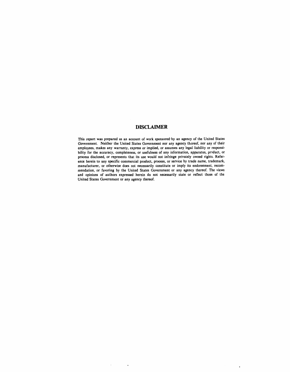# **DIS**C**LAIMER**

This report was prepared as an account of work sponsored by an agency of the United States Government. Neither the United States Government nor any agency thereof, nor any of their employees, makes any warranty, express or implied, or assumes any legal liability or responsibility for the accuracy, completeness, or usefulness of any information, apparatus, product, or process disclosed, or represents that its use would not infringe privately owned rights. Reference herein to any specific commercial product, process, or service by trade name, trademark, **manufacturer, or otherwise does** n**ot necessarily constitute or imply its** e**ndorsement***,* **re**commendation, or favoring by the United States Government or any agency thereof. The views **and opinions of authors** ex**press**e**d h**e**rein do not nec**e**ssarily state or reflect those of the** U**n**i**t**ed **States Governm**e**nt or any agency t**h**er**eo**f**.

 $\alpha$  ,  $\beta$  ,  $\beta$  ,  $\beta$  ,  $\alpha$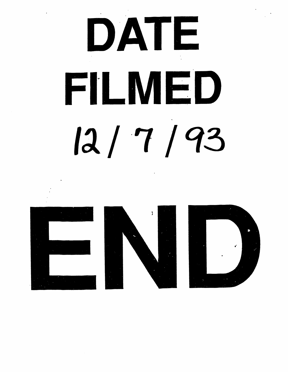# DATE FILMED 12/7/93





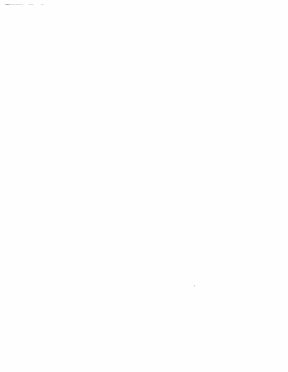$\overline{\phantom{a}}$  $\overline{\phantom{a}}$  $\mathbf{A}^{\text{max}}_{\text{max}} = \mathbf{A}^{\text{max}}_{\text{max}}$